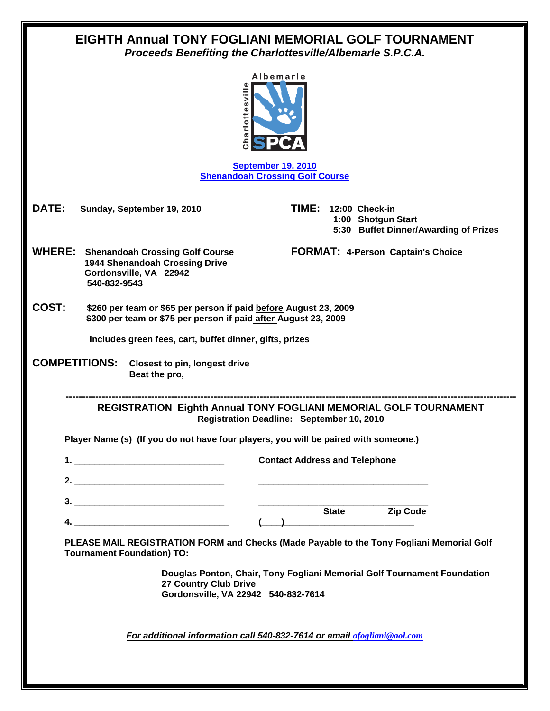| EIGHTH Annual TONY FOGLIANI MEMORIAL GOLF TOURNAMENT<br>Proceeds Benefiting the Charlottesville/Albemarle S.P.C.A.                           |                                                                                        |  |
|----------------------------------------------------------------------------------------------------------------------------------------------|----------------------------------------------------------------------------------------|--|
| Albemarle<br>arlottesvil<br>ء<br>5                                                                                                           |                                                                                        |  |
| <b>September 19, 2010</b><br><b>Shenandoah Crossing Golf Course</b>                                                                          |                                                                                        |  |
| <b>DATE:</b><br>Sunday, September 19, 2010                                                                                                   | TIME:<br>12:00 Check-in<br>1:00 Shotgun Start<br>5:30 Buffet Dinner/Awarding of Prizes |  |
| <b>WHERE:</b><br><b>Shenandoah Crossing Golf Course</b><br><b>1944 Shenandoah Crossing Drive</b><br>Gordonsville, VA 22942<br>540-832-9543   | <b>FORMAT: 4-Person Captain's Choice</b>                                               |  |
| COST:<br>\$260 per team or \$65 per person if paid before August 23, 2009<br>\$300 per team or \$75 per person if paid after August 23, 2009 |                                                                                        |  |
| Includes green fees, cart, buffet dinner, gifts, prizes                                                                                      |                                                                                        |  |
| <b>COMPETITIONS:</b><br><b>Closest to pin, longest drive</b><br>Beat the pro,                                                                |                                                                                        |  |
| <b>REGISTRATION Eighth Annual TONY FOGLIANI MEMORIAL GOLF TOURNAMENT</b><br>Registration Deadline: September 10, 2010                        |                                                                                        |  |
| Player Name (s) (If you do not have four players, you will be paired with someone.)                                                          |                                                                                        |  |
|                                                                                                                                              | <b>Contact Address and Telephone</b>                                                   |  |
|                                                                                                                                              |                                                                                        |  |
|                                                                                                                                              |                                                                                        |  |
|                                                                                                                                              | State Zip Code                                                                         |  |
| PLEASE MAIL REGISTRATION FORM and Checks (Made Payable to the Tony Fogliani Memorial Golf<br><b>Tournament Foundation) TO:</b>               |                                                                                        |  |
| Douglas Ponton, Chair, Tony Fogliani Memorial Golf Tournament Foundation<br>27 Country Club Drive<br>Gordonsville, VA 22942 540-832-7614     |                                                                                        |  |
| For additional information call 540-832-7614 or email afogliani@aol.com                                                                      |                                                                                        |  |
|                                                                                                                                              |                                                                                        |  |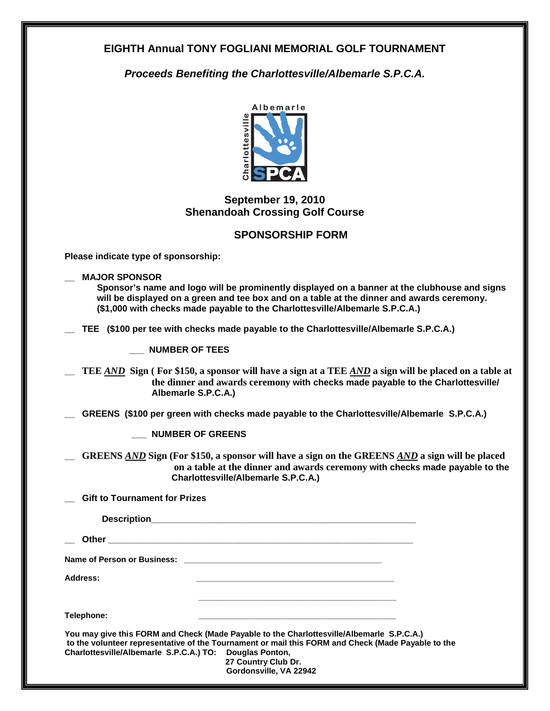## **EIGHTH Annual TONY FOGLIANI MEMORIAL GOLF TOURNAMENT**

*Proceeds Benefiting the Charlottesville/Albemarle S.P.C.A.*



## **September 19, 2010 Shenandoah Crossing Golf Course**

## **SPONSORSHIP FORM**

**Please indicate type of sponsorship:**

**\_\_ MAJOR SPONSOR** 

**Sponsor's name and logo will be prominently displayed on a banner at the clubhouse and signs will be displayed on a green and tee box and on a table at the dinner and awards ceremony. (\$1,000 with checks made payable to the Charlottesville/Albemarle S.P.C.A.)**

**\_\_ TEE (\$100 per tee with checks made payable to the Charlottesville/Albemarle S.P.C.A.)** 

**\_\_\_ NUMBER OF TEES**

**\_\_ TEE** *AND* **Sign ( For \$150, a sponsor will have a sign at a TEE** *AND* **a sign will be placed on a table at the dinner and awards ceremony with checks made payable to the Charlottesville/ Albemarle S.P.C.A.)** 

GREENS (\$100 per green with checks made payable to the Charlottesville/Albemarle S.P.C.A.)

**\_\_\_ NUMBER OF GREENS**

**\_\_ GREENS** *AND* **Sign (For \$150, a sponsor will have a sign on the GREENS** *AND* **a sign will be placed on a table at the dinner and awards ceremony with checks made payable to the Charlottesville/Albemarle S.P.C.A.)** 

**\_\_ Gift to Tournament for Prizes** 

|                                                         | Name of Person or Business: Manual Communication of Person or Business:                                                                                                                                                                          |
|---------------------------------------------------------|--------------------------------------------------------------------------------------------------------------------------------------------------------------------------------------------------------------------------------------------------|
| Address:                                                | <u> 1989 - Johann John Stone, market fan it ferskearre fan it ferskearre fan it ferskearre fan it ferskearre fan i</u>                                                                                                                           |
| Telephone:                                              |                                                                                                                                                                                                                                                  |
| Charlottesville/Albemarle S.P.C.A.) TO: Douglas Ponton, | You may give this FORM and Check (Made Payable to the Charlottesville/Albemarle S.P.C.A.)<br>to the volunteer representative of the Tournament or mail this FORM and Check (Made Payable to the<br>27 Country Club Dr.<br>Gordonsville, VA 22942 |